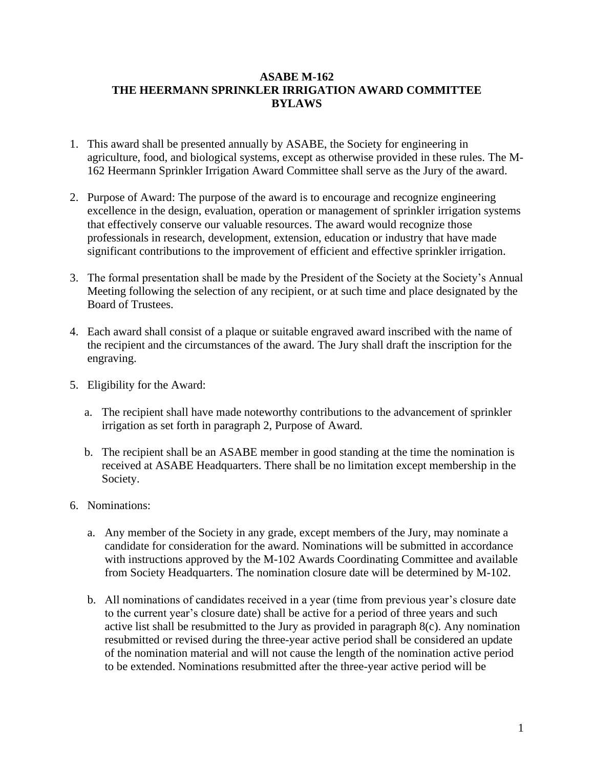## **ASABE M-162 THE HEERMANN SPRINKLER IRRIGATION AWARD COMMITTEE BYLAWS**

- 1. This award shall be presented annually by ASABE, the Society for engineering in agriculture, food, and biological systems, except as otherwise provided in these rules. The M-162 Heermann Sprinkler Irrigation Award Committee shall serve as the Jury of the award.
- 2. Purpose of Award: The purpose of the award is to encourage and recognize engineering excellence in the design, evaluation, operation or management of sprinkler irrigation systems that effectively conserve our valuable resources. The award would recognize those professionals in research, development, extension, education or industry that have made significant contributions to the improvement of efficient and effective sprinkler irrigation.
- 3. The formal presentation shall be made by the President of the Society at the Society's Annual Meeting following the selection of any recipient, or at such time and place designated by the Board of Trustees.
- 4. Each award shall consist of a plaque or suitable engraved award inscribed with the name of the recipient and the circumstances of the award. The Jury shall draft the inscription for the engraving.
- 5. Eligibility for the Award:
	- a. The recipient shall have made noteworthy contributions to the advancement of sprinkler irrigation as set forth in paragraph 2, Purpose of Award.
	- b. The recipient shall be an ASABE member in good standing at the time the nomination is received at ASABE Headquarters. There shall be no limitation except membership in the Society.
- 6. Nominations:
	- a. Any member of the Society in any grade, except members of the Jury, may nominate a candidate for consideration for the award. Nominations will be submitted in accordance with instructions approved by the M-102 Awards Coordinating Committee and available from Society Headquarters. The nomination closure date will be determined by M-102.
	- b. All nominations of candidates received in a year (time from previous year's closure date to the current year's closure date) shall be active for a period of three years and such active list shall be resubmitted to the Jury as provided in paragraph 8(c). Any nomination resubmitted or revised during the three-year active period shall be considered an update of the nomination material and will not cause the length of the nomination active period to be extended. Nominations resubmitted after the three-year active period will be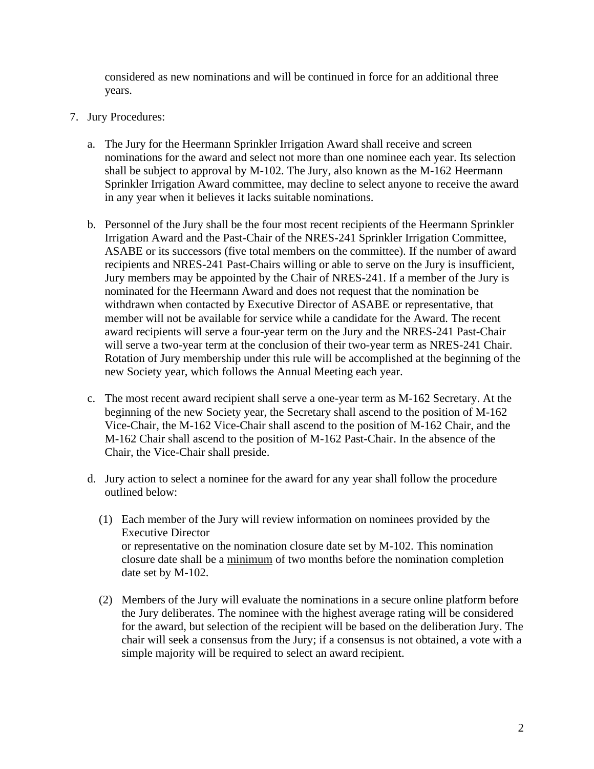considered as new nominations and will be continued in force for an additional three years.

- 7. Jury Procedures:
	- a. The Jury for the Heermann Sprinkler Irrigation Award shall receive and screen nominations for the award and select not more than one nominee each year. Its selection shall be subject to approval by M-102. The Jury, also known as the M-162 Heermann Sprinkler Irrigation Award committee, may decline to select anyone to receive the award in any year when it believes it lacks suitable nominations.
	- b. Personnel of the Jury shall be the four most recent recipients of the Heermann Sprinkler Irrigation Award and the Past-Chair of the NRES-241 Sprinkler Irrigation Committee, ASABE or its successors (five total members on the committee). If the number of award recipients and NRES-241 Past-Chairs willing or able to serve on the Jury is insufficient, Jury members may be appointed by the Chair of NRES-241. If a member of the Jury is nominated for the Heermann Award and does not request that the nomination be withdrawn when contacted by Executive Director of ASABE or representative, that member will not be available for service while a candidate for the Award. The recent award recipients will serve a four-year term on the Jury and the NRES-241 Past-Chair will serve a two-year term at the conclusion of their two-year term as NRES-241 Chair. Rotation of Jury membership under this rule will be accomplished at the beginning of the new Society year, which follows the Annual Meeting each year.
	- c. The most recent award recipient shall serve a one-year term as M-162 Secretary. At the beginning of the new Society year, the Secretary shall ascend to the position of M-162 Vice-Chair, the M-162 Vice-Chair shall ascend to the position of M-162 Chair, and the M-162 Chair shall ascend to the position of M-162 Past-Chair. In the absence of the Chair, the Vice-Chair shall preside.
	- d. Jury action to select a nominee for the award for any year shall follow the procedure outlined below:
		- (1) Each member of the Jury will review information on nominees provided by the Executive Director or representative on the nomination closure date set by M-102. This nomination closure date shall be a minimum of two months before the nomination completion date set by M-102.
		- (2) Members of the Jury will evaluate the nominations in a secure online platform before the Jury deliberates. The nominee with the highest average rating will be considered for the award, but selection of the recipient will be based on the deliberation Jury. The chair will seek a consensus from the Jury; if a consensus is not obtained, a vote with a simple majority will be required to select an award recipient.